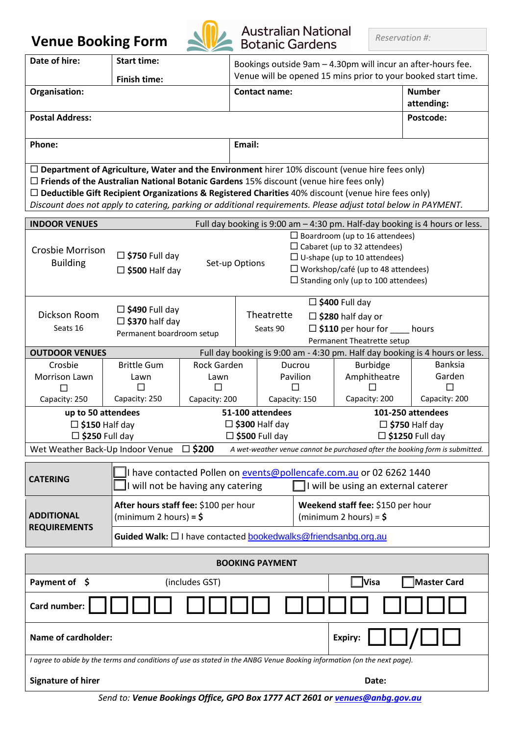## **Venue Booking Form**



# Australian National

| Date of hire:                                                                                                                                                                                                                                                                                                                                                                                                                         | $\sim$<br><b>Start time:</b>                                                                                                                                                                                                                                                          |                        |                                                                                                                               |                    |                                                                                         |                                                    |                   |  |
|---------------------------------------------------------------------------------------------------------------------------------------------------------------------------------------------------------------------------------------------------------------------------------------------------------------------------------------------------------------------------------------------------------------------------------------|---------------------------------------------------------------------------------------------------------------------------------------------------------------------------------------------------------------------------------------------------------------------------------------|------------------------|-------------------------------------------------------------------------------------------------------------------------------|--------------------|-----------------------------------------------------------------------------------------|----------------------------------------------------|-------------------|--|
|                                                                                                                                                                                                                                                                                                                                                                                                                                       | <b>Finish time:</b>                                                                                                                                                                                                                                                                   |                        | Bookings outside 9am - 4.30pm will incur an after-hours fee.<br>Venue will be opened 15 mins prior to your booked start time. |                    |                                                                                         |                                                    |                   |  |
| Organisation:                                                                                                                                                                                                                                                                                                                                                                                                                         |                                                                                                                                                                                                                                                                                       |                        | <b>Contact name:</b>                                                                                                          |                    |                                                                                         | <b>Number</b><br>attending:                        |                   |  |
| <b>Postal Address:</b>                                                                                                                                                                                                                                                                                                                                                                                                                |                                                                                                                                                                                                                                                                                       |                        |                                                                                                                               |                    |                                                                                         |                                                    | Postcode:         |  |
|                                                                                                                                                                                                                                                                                                                                                                                                                                       |                                                                                                                                                                                                                                                                                       |                        |                                                                                                                               |                    |                                                                                         |                                                    |                   |  |
| Phone:                                                                                                                                                                                                                                                                                                                                                                                                                                |                                                                                                                                                                                                                                                                                       |                        | Email:                                                                                                                        |                    |                                                                                         |                                                    |                   |  |
| $\Box$ Department of Agriculture, Water and the Environment hirer 10% discount (venue hire fees only)<br>$\Box$ Friends of the Australian National Botanic Gardens 15% discount (venue hire fees only)<br>$\Box$ Deductible Gift Recipient Organizations & Registered Charities 40% discount (venue hire fees only)<br>Discount does not apply to catering, parking or additional requirements. Please adjust total below in PAYMENT. |                                                                                                                                                                                                                                                                                       |                        |                                                                                                                               |                    |                                                                                         |                                                    |                   |  |
| <b>INDOOR VENUES</b><br>Full day booking is 9:00 am - 4:30 pm. Half-day booking is 4 hours or less.                                                                                                                                                                                                                                                                                                                                   |                                                                                                                                                                                                                                                                                       |                        |                                                                                                                               |                    |                                                                                         |                                                    |                   |  |
| Crosbie Morrison<br><b>Building</b>                                                                                                                                                                                                                                                                                                                                                                                                   | $\Box$ Boardroom (up to 16 attendees)<br>$\Box$ Cabaret (up to 32 attendees)<br>$\Box$ \$750 Full day<br>$\Box$ U-shape (up to 10 attendees)<br>Set-up Options<br>$\Box$ Workshop/café (up to 48 attendees)<br>$\square$ \$500 Half day<br>$\Box$ Standing only (up to 100 attendees) |                        |                                                                                                                               |                    |                                                                                         |                                                    |                   |  |
| Dickson Room<br>Seats 16                                                                                                                                                                                                                                                                                                                                                                                                              | $\Box$ \$490 Full day<br>□ \$370 half day<br>Permanent boardroom setup                                                                                                                                                                                                                | Theatrette<br>Seats 90 |                                                                                                                               |                    | $\square$ \$400 Full day<br>$\Box$ \$280 half day or<br>$\Box$ \$110 per hour for hours |                                                    |                   |  |
|                                                                                                                                                                                                                                                                                                                                                                                                                                       |                                                                                                                                                                                                                                                                                       |                        | Permanent Theatrette setup                                                                                                    |                    |                                                                                         |                                                    |                   |  |
| <b>OUTDOOR VENUES</b>                                                                                                                                                                                                                                                                                                                                                                                                                 | Full day booking is 9:00 am - 4:30 pm. Half day booking is 4 hours or less.<br><b>Banksia</b>                                                                                                                                                                                         |                        |                                                                                                                               |                    |                                                                                         |                                                    |                   |  |
| Crosbie<br>Morrison Lawn                                                                                                                                                                                                                                                                                                                                                                                                              | <b>Brittle Gum</b><br>Lawn                                                                                                                                                                                                                                                            | Rock Garden<br>Lawn    |                                                                                                                               | Ducrou<br>Pavilion |                                                                                         | <b>Burbidge</b><br>Amphitheatre                    | Garden            |  |
| П                                                                                                                                                                                                                                                                                                                                                                                                                                     | $\Box$                                                                                                                                                                                                                                                                                | $\Box$                 |                                                                                                                               | П                  |                                                                                         | П                                                  | П                 |  |
| Capacity: 250                                                                                                                                                                                                                                                                                                                                                                                                                         | Capacity: 250                                                                                                                                                                                                                                                                         | Capacity: 200          |                                                                                                                               |                    | Capacity: 150                                                                           | Capacity: 200                                      | Capacity: 200     |  |
| up to 50 attendees                                                                                                                                                                                                                                                                                                                                                                                                                    |                                                                                                                                                                                                                                                                                       |                        | 51-100 attendees                                                                                                              |                    |                                                                                         |                                                    | 101-250 attendees |  |
| $\Box$ \$150 Half day<br>$\Box$ \$250 Full day                                                                                                                                                                                                                                                                                                                                                                                        |                                                                                                                                                                                                                                                                                       |                        | $\Box$ \$300 Half day<br>$\Box$ \$500 Full day                                                                                |                    |                                                                                         | $\Box$ \$750 Half day<br>$\square$ \$1250 Full day |                   |  |
| $\square$ \$200<br>Wet Weather Back-Up Indoor Venue<br>A wet-weather venue cannot be purchased after the booking form is submitted.                                                                                                                                                                                                                                                                                                   |                                                                                                                                                                                                                                                                                       |                        |                                                                                                                               |                    |                                                                                         |                                                    |                   |  |
| I have contacted Pollen on events@pollencafe.com.au or 02 6262 1440<br><b>CATERING</b><br>I will not be having any catering<br>I will be using an external caterer                                                                                                                                                                                                                                                                    |                                                                                                                                                                                                                                                                                       |                        |                                                                                                                               |                    |                                                                                         |                                                    |                   |  |
| <b>ADDITIONAL</b><br><b>REQUIREMENTS</b>                                                                                                                                                                                                                                                                                                                                                                                              | After hours staff fee: \$100 per hour<br>(minimum 2 hours) = $\frac{1}{5}$                                                                                                                                                                                                            |                        | Weekend staff fee: \$150 per hour<br>(minimum 2 hours) = $\frac{1}{5}$                                                        |                    |                                                                                         |                                                    |                   |  |
|                                                                                                                                                                                                                                                                                                                                                                                                                                       | Guided Walk: □ I have contacted bookedwalks@friendsanbg.org.au                                                                                                                                                                                                                        |                        |                                                                                                                               |                    |                                                                                         |                                                    |                   |  |
| <b>BOOKING PAYMENT</b>                                                                                                                                                                                                                                                                                                                                                                                                                |                                                                                                                                                                                                                                                                                       |                        |                                                                                                                               |                    |                                                                                         |                                                    |                   |  |
| Payment of \$<br>(includes GST)<br>Visa<br><b>Master Card</b>                                                                                                                                                                                                                                                                                                                                                                         |                                                                                                                                                                                                                                                                                       |                        |                                                                                                                               |                    |                                                                                         |                                                    |                   |  |
| Card number:                                                                                                                                                                                                                                                                                                                                                                                                                          |                                                                                                                                                                                                                                                                                       |                        |                                                                                                                               |                    |                                                                                         |                                                    |                   |  |
| <b>Name of cardholder:</b>                                                                                                                                                                                                                                                                                                                                                                                                            |                                                                                                                                                                                                                                                                                       |                        |                                                                                                                               |                    |                                                                                         | Expiry:                                            |                   |  |
| I agree to abide by the terms and conditions of use as stated in the ANBG Venue Booking information (on the next page).                                                                                                                                                                                                                                                                                                               |                                                                                                                                                                                                                                                                                       |                        |                                                                                                                               |                    |                                                                                         |                                                    |                   |  |

**Signature of hirer Date:** Date: